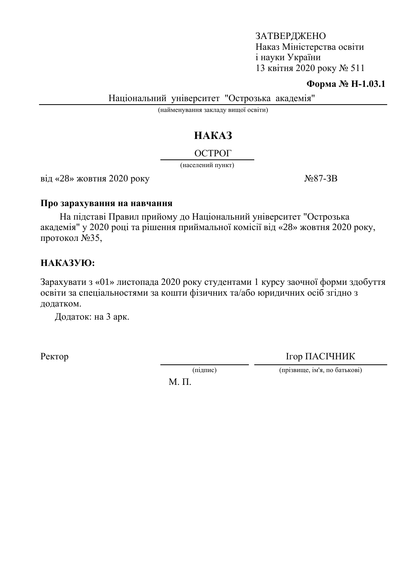#### ЗАТВЕРДЖЕНО Наказ Міністерства освіти i науки України 13 квітня 2020 року  $N<sub>2</sub> 511$

#### **Форма № Н-1.03.1**

Національний університет "Острозька академія"

(найменування закладу вищої освіти)

# HAKA3

## ОСТРОГ

(населений пункт)

 $\overline{\text{Bi}}\text{A} \ll 28$ » жовтня 2020 року  $\overline{\text{Ne}}\text{87-3B}$ 

#### Про зарахування на навчання

На підставі Правил прийому до Національний університет "Острозька академія" у 2020 році та рішення приймальної комісії від «28» жовтня 2020 року, протокол  $N<sub>235</sub>$ ,

## HAKA3YIO:

Зарахувати з «01» листопада 2020 року студентами 1 курсу заочної форми здобуття освіти за спеціальностями за кошти фізичних та/або юридичних осіб згідно з додатком.

Додаток: на 3 арк.

Ректор ПАСІЧНИК

(підпис) (прізвище, ім'я, по батькові)

 $M$ .  $\Pi$ .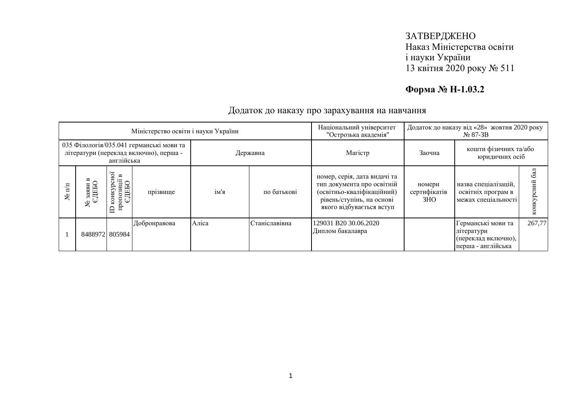### ЗАТВЕРДЖЕНО Наказ Міністерства освіти і науки України 13 квітня 2020 року № 511

## **Форма № Н-1.03.2**

| Міністерство освіти і науки України                                                              |                |                                                                       |              |          |               | Національний університет<br>"Острозька академія"                                                                                                  | Додаток до наказу від «28» жовтня 2020 року<br>$N2$ 87-3B |                                                                               |                      |
|--------------------------------------------------------------------------------------------------|----------------|-----------------------------------------------------------------------|--------------|----------|---------------|---------------------------------------------------------------------------------------------------------------------------------------------------|-----------------------------------------------------------|-------------------------------------------------------------------------------|----------------------|
| 035 Філологія/035.041 германські мови та<br>літератури (переклад включно), перша -<br>англійська |                |                                                                       |              | Державна |               | Магістр                                                                                                                                           | кошти фізичних та/або<br>Заочна<br>юридичних осіб         |                                                                               |                      |
| $\frac{\pi}{n}$<br>يع                                                                            | ৼ              | ĒС<br>$\bf{m}$<br>$\frac{1}{2}$ one<br>small<br>ن<br>конкур<br>Ê<br>≘ | прізвище     | ім'я     | по батькові   | номер, серія, дата видачі та<br>тип документа про освітній<br>(освітньо-кваліфікаційний)<br>рівень/ступінь, на основі<br>якого відбувається вступ | номери<br>сертифікатів<br>3HO                             | назва спеціалізацій,<br>освітніх програм в<br>межах спеціальності             | $\overline{6a}$<br>ā |
|                                                                                                  | 8488972 805984 |                                                                       | Добронравова | Аліса    | Станіславівна | 129031 B20 30.06.2020<br>Диплом бакалавра                                                                                                         |                                                           | Германські мови та<br>літератури<br>(переклад включно),<br>перша - англійська | 267,77               |

#### Додаток до наказу про зарахування на навчання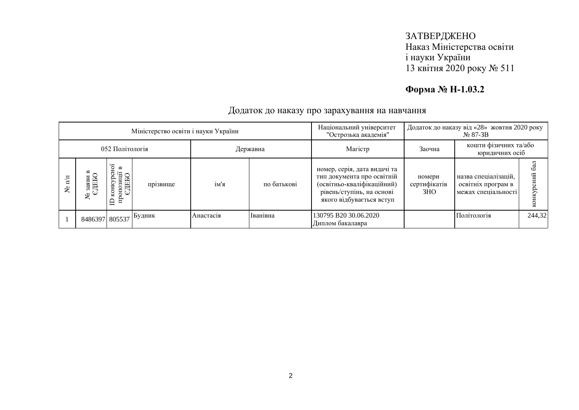### ЗАТВЕРДЖЕНО Наказ Міністерства освіти і науки України 13 квітня 2020 року № 511

## **Форма № Н-1.03.2**

| Міністерство освіти і науки України |                |                                                   |               |           |             | Національний університет<br>"Острозька академія"                                                                                                  | Додаток до наказу від «28» жовтня 2020 року<br>$N2$ 87-3B |                                                                   |        |
|-------------------------------------|----------------|---------------------------------------------------|---------------|-----------|-------------|---------------------------------------------------------------------------------------------------------------------------------------------------|-----------------------------------------------------------|-------------------------------------------------------------------|--------|
| 052 Політологія                     |                |                                                   |               | Державна  |             | Maricrp                                                                                                                                           | кошти фізичних та/або<br>Заочна<br>юридичних осіб         |                                                                   |        |
| ع                                   | ৼ              | $\mathbf{r}$<br><b>THERE</b><br><b>KOHKY</b><br>Ê | прізвище      | ім'я      | по батькові | номер, серія, дата видачі та<br>тип документа про освітній<br>(освітньо-кваліфікаційний)<br>рівень/ступінь, на основі<br>якого відбувається вступ | номери<br>сертифікатів<br>3HO                             | назва спеціалізацій,<br>освітніх програм в<br>межах спеціальності |        |
|                                     | 8486397 805537 |                                                   | <b>Будник</b> | Анастасія | Іванівна    | 130795 B20 30.06.2020<br>Диплом бакалавра                                                                                                         |                                                           | Політологія                                                       | 244,32 |

#### Додаток до наказу про зарахування на навчання